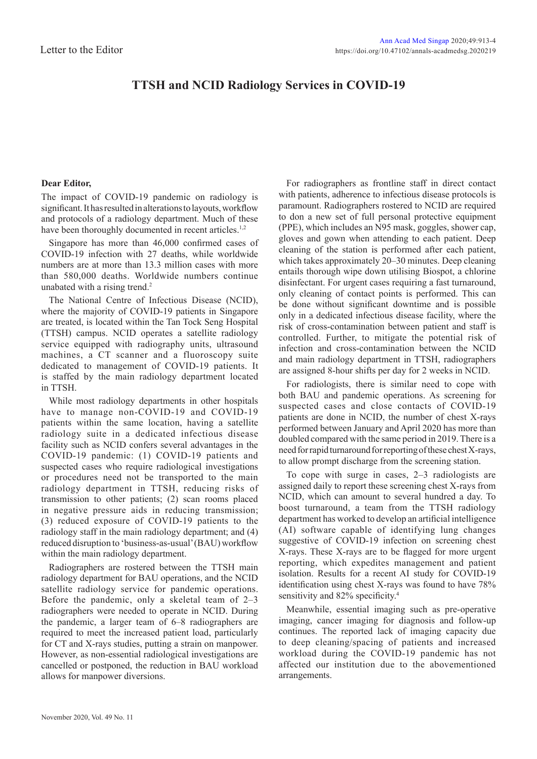## **TTSH and NCID Radiology Services in COVID-19**

## **Dear Editor,**

The impact of COVID-19 pandemic on radiology is significant. It has resulted in alterations to layouts, workflow and protocols of a radiology department. Much of these have been thoroughly documented in recent articles.<sup>1,2</sup>

Singapore has more than 46,000 confirmed cases of COVID-19 infection with 27 deaths, while worldwide numbers are at more than 13.3 million cases with more than 580,000 deaths. Worldwide numbers continue unabated with a rising trend.<sup>2</sup>

The National Centre of Infectious Disease (NCID), where the majority of COVID-19 patients in Singapore are treated, is located within the Tan Tock Seng Hospital (TTSH) campus. NCID operates a satellite radiology service equipped with radiography units, ultrasound machines, a CT scanner and a fluoroscopy suite dedicated to management of COVID-19 patients. It is staffed by the main radiology department located in TTSH.

While most radiology departments in other hospitals have to manage non-COVID-19 and COVID-19 patients within the same location, having a satellite radiology suite in a dedicated infectious disease facility such as NCID confers several advantages in the COVID-19 pandemic: (1) COVID-19 patients and suspected cases who require radiological investigations or procedures need not be transported to the main radiology department in TTSH, reducing risks of transmission to other patients; (2) scan rooms placed in negative pressure aids in reducing transmission; (3) reduced exposure of COVID-19 patients to the radiology staff in the main radiology department; and (4) reduced disruption to 'business-as-usual' (BAU) workflow within the main radiology department.

Radiographers are rostered between the TTSH main radiology department for BAU operations, and the NCID satellite radiology service for pandemic operations. Before the pandemic, only a skeletal team of 2–3 radiographers were needed to operate in NCID. During the pandemic, a larger team of 6–8 radiographers are required to meet the increased patient load, particularly for CT and X-rays studies, putting a strain on manpower. However, as non-essential radiological investigations are cancelled or postponed, the reduction in BAU workload allows for manpower diversions.

For radiographers as frontline staff in direct contact with patients, adherence to infectious disease protocols is paramount. Radiographers rostered to NCID are required to don a new set of full personal protective equipment (PPE), which includes an N95 mask, goggles, shower cap, gloves and gown when attending to each patient. Deep cleaning of the station is performed after each patient, which takes approximately 20–30 minutes. Deep cleaning entails thorough wipe down utilising Biospot, a chlorine disinfectant. For urgent cases requiring a fast turnaround, only cleaning of contact points is performed. This can be done without significant downtime and is possible only in a dedicated infectious disease facility, where the risk of cross-contamination between patient and staff is controlled. Further, to mitigate the potential risk of infection and cross-contamination between the NCID and main radiology department in TTSH, radiographers are assigned 8-hour shifts per day for 2 weeks in NCID.

For radiologists, there is similar need to cope with both BAU and pandemic operations. As screening for suspected cases and close contacts of COVID-19 patients are done in NCID, the number of chest X-rays performed between January and April 2020 has more than doubled compared with the same period in 2019. There is a need for rapid turnaround for reporting of these chest X-rays, to allow prompt discharge from the screening station.

To cope with surge in cases, 2–3 radiologists are assigned daily to report these screening chest X-rays from NCID, which can amount to several hundred a day. To boost turnaround, a team from the TTSH radiology department has worked to develop an artificial intelligence (AI) software capable of identifying lung changes suggestive of COVID-19 infection on screening chest X-rays. These X-rays are to be flagged for more urgent reporting, which expedites management and patient isolation. Results for a recent AI study for COVID-19 identification using chest X-rays was found to have 78% sensitivity and 82% specificity.<sup>4</sup>

Meanwhile, essential imaging such as pre-operative imaging, cancer imaging for diagnosis and follow-up continues. The reported lack of imaging capacity due to deep cleaning/spacing of patients and increased workload during the COVID-19 pandemic has not affected our institution due to the abovementioned arrangements.